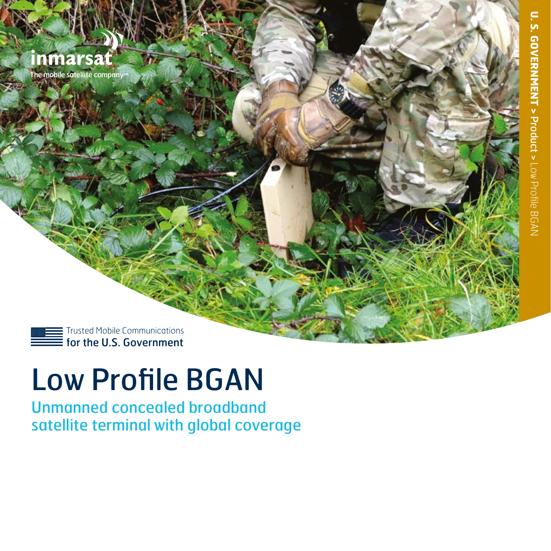inmarsat The mobile satellite company Trusted Mobile Communications<br> **Example 2018** for the U.S. Government

## Low Profile BGAN

Unmanned concealed broadband satellite terminal with global coverage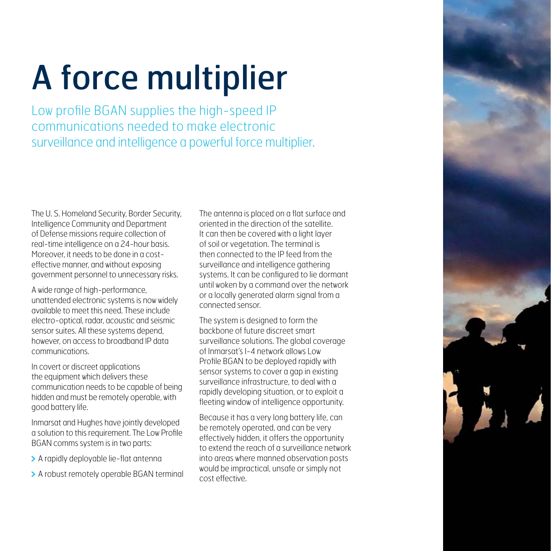# A force multiplier

Low profile BGAN supplies the high-speed IP communications needed to make electronic surveillance and intelligence a powerful force multiplier.

The U. S. Homeland Security, Border Security, Intelligence Community and Department of Defense missions require collection of real-time intelligence on a 24-hour basis. Moreover, it needs to be done in a costeffective manner, and without exposing government personnel to unnecessary risks.

A wide range of high-performance, unattended electronic systems is now widely available to meet this need. These include electro-optical, radar, acoustic and seismic sensor suites. All these systems depend, however, on access to broadband IP data communications.

In covert or discreet applications the equipment which delivers these communication needs to be capable of being hidden and must be remotely operable, with good battery life.

Inmarsat and Hughes have jointly developed a solution to this requirement. The Low Profile BGAN comms system is in two parts:

- A rapidly deployable lie-flat antenna
- > A robust remotely operable BGAN terminal

The antenna is placed on a flat surface and oriented in the direction of the satellite. It can then be covered with a light layer of soil or vegetation. The terminal is then connected to the IP feed from the surveillance and intelligence gathering systems. It can be configured to lie dormant until woken by a command over the network or a locally generated alarm signal from a connected sensor.

The system is designed to form the backbone of future discreet smart surveillance solutions. The global coverage of Inmarsat's I-4 network allows Low Profile BGAN to be deployed rapidly with sensor systems to cover a gap in existing surveillance infrastructure, to deal with a rapidly developing situation, or to exploit a fleeting window of intelligence opportunity.

Because it has a very long battery life, can be remotely operated, and can be very effectively hidden, it offers the opportunity to extend the reach of a surveillance network into areas where manned observation posts would be impractical, unsafe or simply not cost effective.

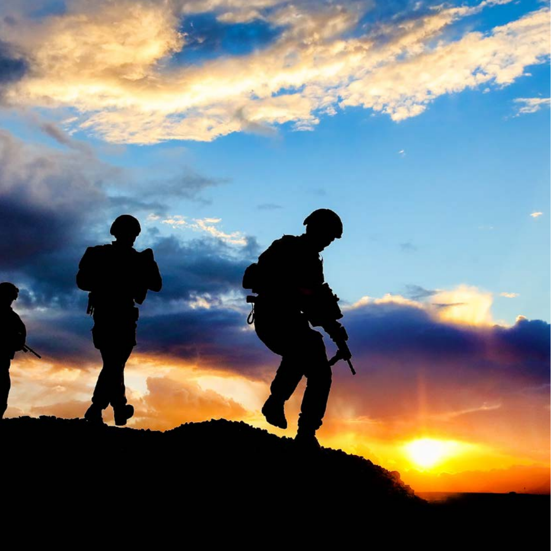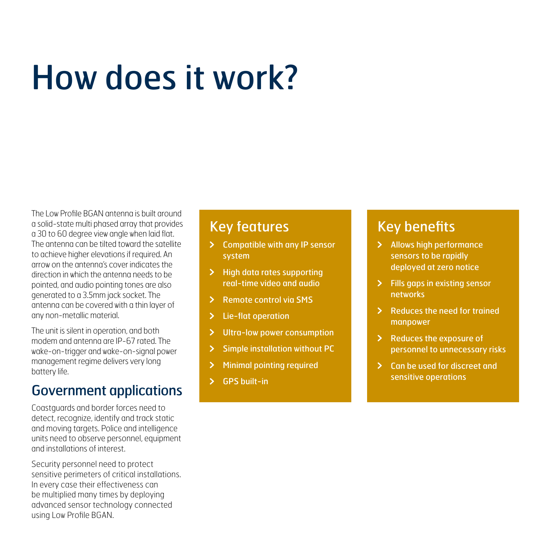## How does it work?

The Low Profile BGAN antenna is built around a solid-state multi phased array that provides a 30 to 60 degree view angle when laid flat. The antenna can be tilted toward the satellite to achieve higher elevations if required. An arrow on the antenna's cover indicates the direction in which the antenna needs to be pointed, and audio pointing tones are also generated to a 3.5mm jack socket. The antenna can be covered with a thin layer of any non-metallic material.

The unit is silent in operation, and both modem and antenna are IP-67 rated. The wake-on-trigger and wake-on-signal power management regime delivers very long battery life.

#### Government applications

Coastguards and border forces need to detect, recognize, identify and track static and moving targets. Police and intelligence units need to observe personnel, equipment and installations of interest.

Security personnel need to protect sensitive perimeters of critical installations. In every case their effectiveness can be multiplied many times by deploying advanced sensor technology connected using Low Profile BGAN.

#### Key features

- > Compatible with any IP sensor system
- > High data rates supporting real-time video and audio
- $\mathbf{S}$ Remote control via SMS
- $\rightarrow$ Lie-flat operation
- $\mathbf{\Sigma}$ Ultra-low power consumption
- Simple installation without PC  $\rightarrow$
- Minimal pointing required ゝ
- GPS built-in  $\mathbf{S}$

#### Key benefits

- > Allows high performance sensors to be rapidly deployed at zero notice
- $\triangleright$  Fills gaps in existing sensor networks
- Reduces the need for trained manpower
- > Reduces the exposure of personnel to unnecessary risks
- Can be used for discreet and sensitive operations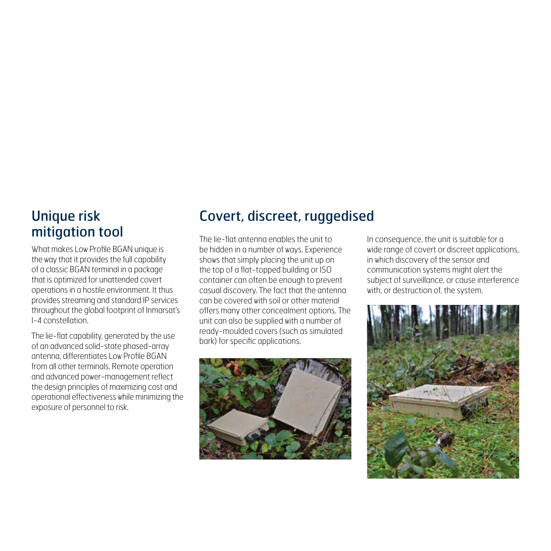#### Unique risk mitigation tool

What makes Low Profile BGAN unique is the way that it provides the full capability of a classic BGAN terminal in a package that is optimized for unattended covert operations in a hostile environment. It thus provides streaming and standard IP services throughout the global footprint of Inmarsat's I-4 constellation.

The lie-flat capability, generated by the use of an advanced solid-state phased-array antenna, differentiates Low Profile BGAN from all other terminals. Remote operation and advanced power-management reflect the design principles of maximizing cost and operational effectiveness while minimizing the exposure of personnel to risk.

## Covert, discreet, ruggedised

The lie-flat antenna enables the unit to be hidden in a number of ways. Experience shows that simply placing the unit up on the top of a flat-topped building or ISO container can often be enough to prevent casual discovery. The fact that the antenna can be covered with soil or other material offers many other concealment options. The unit can also be supplied with a number of ready-moulded covers (such as simulated bark) for specific applications.



In consequence, the unit is suitable for a wide range of covert or discreet applications, in which discovery of the sensor and communication systems might alert the subject of surveillance, or cause interference with, or destruction of, the system.

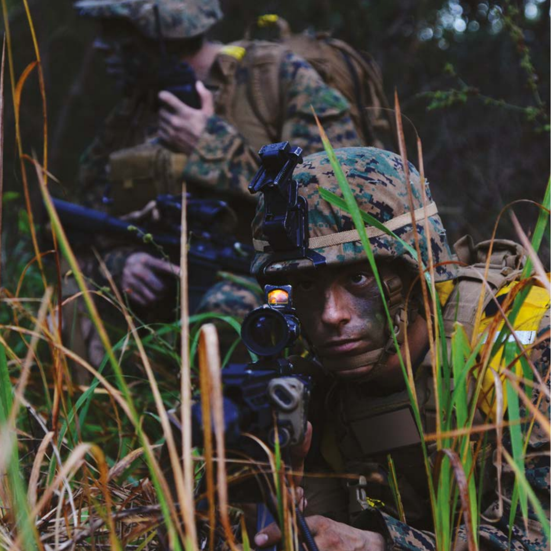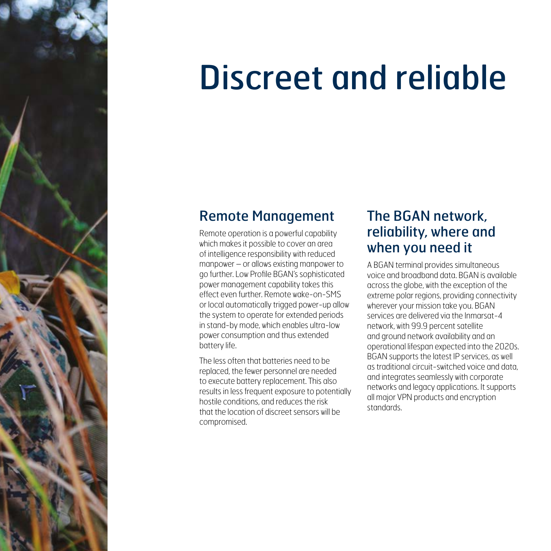

## Discreet and reliable

### Remote Management

Remote operation is a powerful capability which makes it possible to cover an area of intelligence responsibility with reduced manpower – or allows existing manpower to go further. Low Profile BGAN's sophisticated power management capability takes this effect even further. Remote wake-on-SMS or local automatically trigged power-up allow the system to operate for extended periods in stand-by mode, which enables ultra-low power consumption and thus extended battery life.

The less often that batteries need to be replaced, the fewer personnel are needed to execute battery replacement. This also results in less frequent exposure to potentially hostile conditions, and reduces the risk that the location of discreet sensors will be compromised.

### The BGAN network, reliability, where and when you need it

A BGAN terminal provides simultaneous voice and broadband data. BGAN is available across the globe, with the exception of the extreme polar regions, providing connectivity wherever your mission take you. BGAN services are delivered via the Inmarsat-4 network, with 99.9 percent satellite and ground network availability and an operational lifespan expected into the 2020s. BGAN supports the latest IP services, as well as traditional circuit-switched voice and data, and integrates seamlessly with corporate networks and legacy applications. It supports all major VPN products and encryption standards.